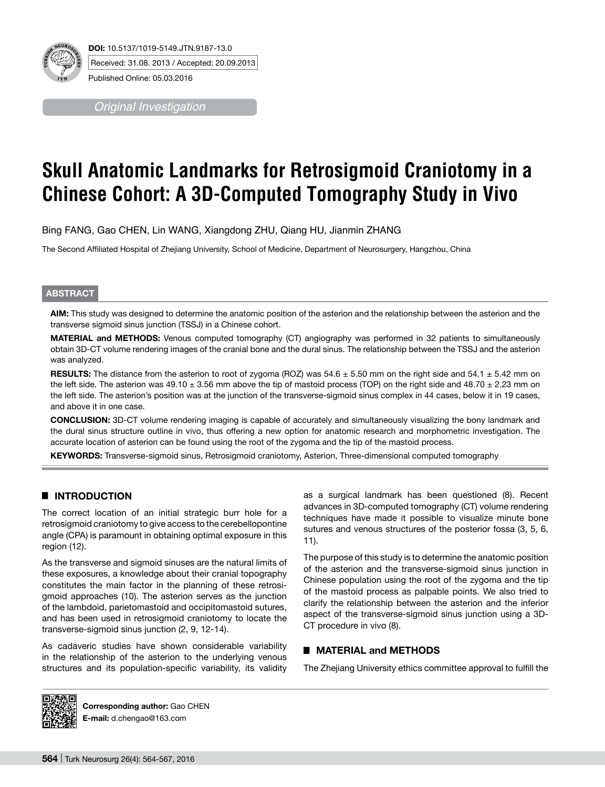

*Original Investigation*

# **Skull Anatomic Landmarks for Retrosigmoid Craniotomy in a Chinese Cohort: A 3D-Computed Tomography Study in Vivo**

Bing FANG, Gao CHEN, Lin WANG, Xiangdong ZHU, Qiang HU, Jianmin ZHANG

The Second Affiliated Hospital of Zhejiang University, School of Medicine, Department of Neurosurgery, Hangzhou, China

#### **ABSTRACT**

**AIm:** This study was designed to determine the anatomic position of the asterion and the relationship between the asterion and the transverse sigmoid sinus junction (TSSJ) in a Chinese cohort.

**MaterIal and Methods:** Venous computed tomography (CT) angiography was performed in 32 patients to simultaneously obtain 3D-CT volume rendering images of the cranial bone and the dural sinus. The relationship between the TSSJ and the asterion was analyzed.

**RESULTS:** The distance from the asterion to root of zygoma (ROZ) was  $54.6 \pm 5.50$  mm on the right side and  $54.1 \pm 5.42$  mm on the left side. The asterion was  $49.10 \pm 3.56$  mm above the tip of mastoid process (TOP) on the right side and  $48.70 \pm 2.23$  mm on the left side. The asterion's position was at the junction of the transverse-sigmoid sinus complex in 44 cases, below it in 19 cases, and above it in one case.

**ConclusIon:** 3D-CT volume rendering imaging is capable of accurately and simultaneously visualizing the bony landmark and the dural sinus structure outline in vivo, thus offering a new option for anatomic research and morphometric investigation. The accurate location of asterion can be found using the root of the zygoma and the tip of the mastoid process.

**Keywords:** Transverse-sigmoid sinus, Retrosigmoid craniotomy, Asterion, Three-dimensional computed tomography

## █ **INTRODUCTION**

The correct location of an initial strategic burr hole for a retrosigmoid craniotomy to give access to the cerebellopontine angle (CPA) is paramount in obtaining optimal exposure in this region (12).

As the transverse and sigmoid sinuses are the natural limits of these exposures, a knowledge about their cranial topography constitutes the main factor in the planning of these retrosigmoid approaches (10). The asterion serves as the junction of the lambdoid, parietomastoid and occipitomastoid sutures, and has been used in retrosigmoid craniotomy to locate the transverse-sigmoid sinus junction (2, 9, 12-14).

As cadaveric studies have shown considerable variability in the relationship of the asterion to the underlying venous structures and its population-specific variability, its validity as a surgical landmark has been questioned (8). Recent advances in 3D-computed tomography (CT) volume rendering techniques have made it possible to visualize minute bone sutures and venous structures of the posterior fossa (3, 5, 6, 11).

The purpose of this study is to determine the anatomic position of the asterion and the transverse-sigmoid sinus junction in Chinese population using the root of the zygoma and the tip of the mastoid process as palpable points. We also tried to clarify the relationship between the asterion and the inferior aspect of the transverse-sigmoid sinus junction using a 3D-CT procedure in vivo (8).

## █ **MATERIAL and METHODS**

The Zhejiang University ethics committee approval to fulfill the



**Corresponding author:** Gao CHEN **E-mail:** d.chengao@163.com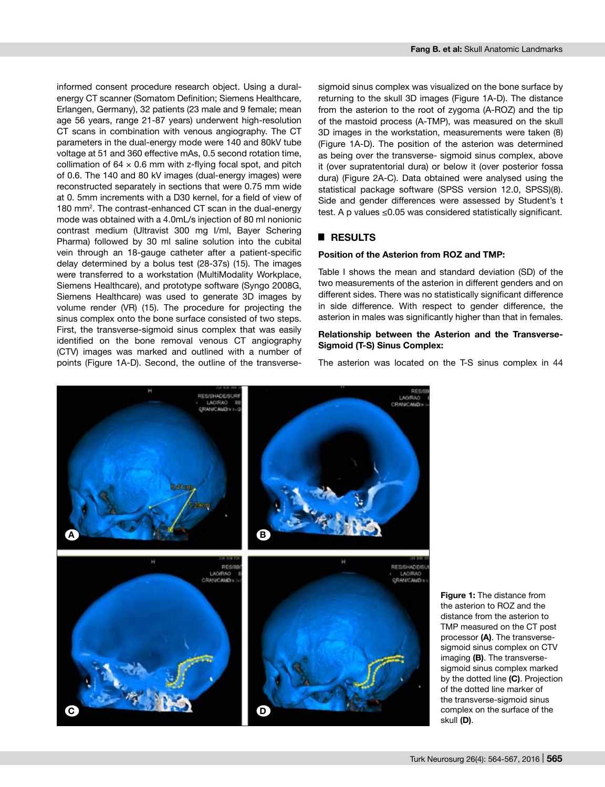informed consent procedure research object. Using a duralenergy CT scanner (Somatom Definition; Siemens Healthcare, Erlangen, Germany), 32 patients (23 male and 9 female; mean age 56 years, range 21-87 years) underwent high-resolution CT scans in combination with venous angiography. The CT parameters in the dual-energy mode were 140 and 80kV tube voltage at 51 and 360 effective mAs, 0.5 second rotation time, collimation of  $64 \times 0.6$  mm with z-flying focal spot, and pitch of 0.6. The 140 and 80 kV images (dual-energy images) were reconstructed separately in sections that were 0.75 mm wide at 0. 5mm increments with a D30 kernel, for a field of view of 180 mm<sup>2</sup>. The contrast-enhanced CT scan in the dual-energy mode was obtained with a 4.0mL/s injection of 80 ml nonionic contrast medium (Ultravist 300 mg I/ml, Bayer Schering Pharma) followed by 30 ml saline solution into the cubital vein through an 18-gauge catheter after a patient-specific delay determined by a bolus test (28-37s) (15). The images were transferred to a workstation (MultiModality Workplace, Siemens Healthcare), and prototype software (Syngo 2008G, Siemens Healthcare) was used to generate 3D images by volume render (VR) (15). The procedure for projecting the sinus complex onto the bone surface consisted of two steps. First, the transverse-sigmoid sinus complex that was easily identified on the bone removal venous CT angiography (CTV) images was marked and outlined with a number of points (Figure 1A-D). Second, the outline of the transverse-

sigmoid sinus complex was visualized on the bone surface by returning to the skull 3D images (Figure 1A-D). The distance from the asterion to the root of zygoma (A-ROZ) and the tip of the mastoid process (A-TMP), was measured on the skull 3D images in the workstation, measurements were taken (8) (Figure 1A-D). The position of the asterion was determined as being over the transverse- sigmoid sinus complex, above it (over supratentorial dura) or below it (over posterior fossa dura) (Figure 2A-C). Data obtained were analysed using the statistical package software (SPSS version 12.0, SPSS)(8). Side and gender differences were assessed by Student's t test. A p values ≤0.05 was considered statistically significant.

#### █ **RESULTS**

#### **Position of the Asterion from ROZ and TMP:**

Table I shows the mean and standard deviation (SD) of the two measurements of the asterion in different genders and on different sides. There was no statistically significant difference in side difference. With respect to gender difference, the asterion in males was significantly higher than that in females.

### **Relationship between the Asterion and the Transverse-Sigmoid (T-S) Sinus Complex:**

The asterion was located on the T-S sinus complex in 44



**Figure 1:** The distance from the asterion to ROZ and the distance from the asterion to TMP measured on the CT post processor **(A)**. The transversesigmoid sinus complex on CTV imaging **(B)**. The transversesigmoid sinus complex marked by the dotted line **(C)**. Projection of the dotted line marker of the transverse-sigmoid sinus complex on the surface of the skull **(D)**.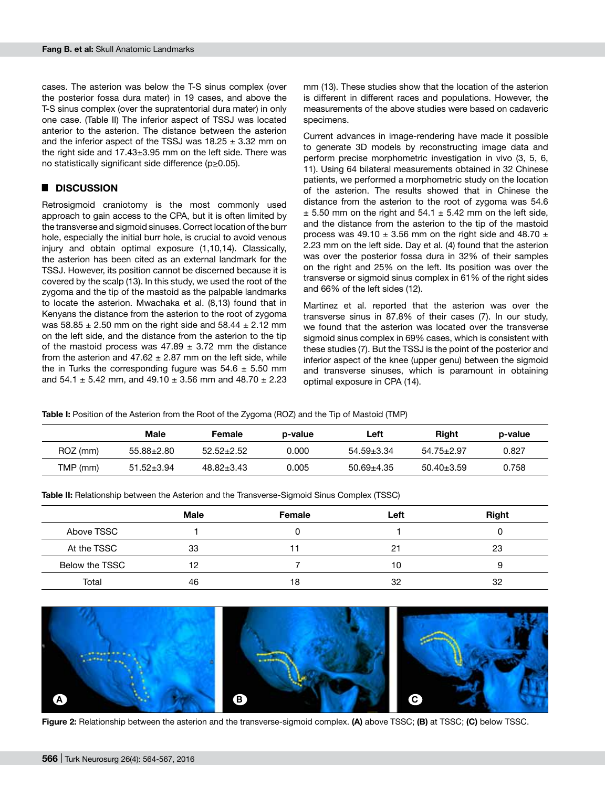cases. The asterion was below the T-S sinus complex (over the posterior fossa dura mater) in 19 cases, and above the T-S sinus complex (over the supratentorial dura mater) in only one case. (Table II) The inferior aspect of TSSJ was located anterior to the asterion. The distance between the asterion and the inferior aspect of the TSSJ was  $18.25 \pm 3.32$  mm on the right side and  $17.43\pm3.95$  mm on the left side. There was no statistically significant side difference (p≥0.05).

# █ **DISCUSSION**

Retrosigmoid craniotomy is the most commonly used approach to gain access to the CPA, but it is often limited by the transverse and sigmoid sinuses. Correct location of the burr hole, especially the initial burr hole, is crucial to avoid venous injury and obtain optimal exposure (1,10,14). Classically, the asterion has been cited as an external landmark for the TSSJ. However, its position cannot be discerned because it is covered by the scalp (13). In this study, we used the root of the zygoma and the tip of the mastoid as the palpable landmarks to locate the asterion. Mwachaka et al. (8,13) found that in Kenyans the distance from the asterion to the root of zygoma was  $58.85 \pm 2.50$  mm on the right side and  $58.44 \pm 2.12$  mm on the left side, and the distance from the asterion to the tip of the mastoid process was  $47.89 \pm 3.72$  mm the distance from the asterion and  $47.62 \pm 2.87$  mm on the left side, while the in Turks the corresponding fugure was  $54.6 \pm 5.50$  mm and 54.1  $\pm$  5.42 mm, and 49.10  $\pm$  3.56 mm and 48.70  $\pm$  2.23

mm (13). These studies show that the location of the asterion is different in different races and populations. However, the measurements of the above studies were based on cadaveric specimens.

Current advances in image-rendering have made it possible to generate 3D models by reconstructing image data and perform precise morphometric investigation in vivo (3, 5, 6, 11). Using 64 bilateral measurements obtained in 32 Chinese patients, we performed a morphometric study on the location of the asterion. The results showed that in Chinese the distance from the asterion to the root of zygoma was 54.6  $\pm$  5.50 mm on the right and 54.1  $\pm$  5.42 mm on the left side, and the distance from the asterion to the tip of the mastoid process was 49.10  $\pm$  3.56 mm on the right side and 48.70  $\pm$ 2.23 mm on the left side. Day et al. (4) found that the asterion was over the posterior fossa dura in 32% of their samples on the right and 25% on the left. Its position was over the transverse or sigmoid sinus complex in 61% of the right sides and 66% of the left sides (12).

Martinez et al. reported that the asterion was over the transverse sinus in 87.8% of their cases (7). In our study, we found that the asterion was located over the transverse sigmoid sinus complex in 69% cases, which is consistent with these studies (7). But the TSSJ is the point of the posterior and inferior aspect of the knee (upper genu) between the sigmoid and transverse sinuses, which is paramount in obtaining optimal exposure in CPA (14).

**Table I:** Position of the Asterion from the Root of the Zygoma (ROZ) and the Tip of Mastoid (TMP)

|          | Male             | Female           | p-value | Left             | Riaht          | p-value |
|----------|------------------|------------------|---------|------------------|----------------|---------|
| ROZ (mm) | $55.88 \pm 2.80$ | $52.52 + 2.52$   | 0.000   | 54.59±3.34       | 54.75+2.97     | 0.827   |
| TMP (mm) | $51.52 \pm 3.94$ | $48.82 \pm 3.43$ | ን.005   | $50.69 \pm 4.35$ | $50.40 + 3.59$ | 0.758   |

**Table II:** Relationship between the Asterion and the Transverse-Sigmoid Sinus Complex (TSSC)

|                | <b>Male</b> | Female | Left | <b>Right</b> |
|----------------|-------------|--------|------|--------------|
| Above TSSC     |             |        |      |              |
| At the TSSC    | 33          |        | 2.   | 23           |
| Below the TSSC | 12          |        | 10   |              |
| Total          | 46          | 18     | 32   | 32           |



**Figure 2:** Relationship between the asterion and the transverse-sigmoid complex. **(A)** above TSSC; **(B)** at TSSC; **(C)** below TSSC.